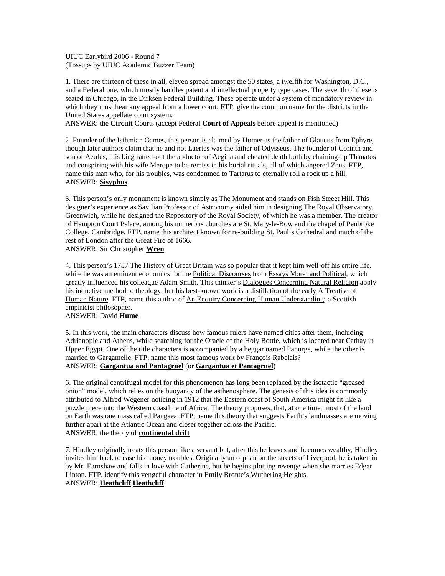UIUC Earlybird 2006 - Round 7 (Tossups by UIUC Academic Buzzer Team)

1. There are thirteen of these in all, eleven spread amongst the 50 states, a twelfth for Washington, D.C., and a Federal one, which mostly handles patent and intellectual property type cases. The seventh of these is seated in Chicago, in the Dirksen Federal Building. These operate under a system of mandatory review in which they must hear any appeal from a lower court. FTP, give the common name for the districts in the United States appellate court system.

ANSWER: the **Circuit** Courts (accept Federal **Court of Appeals** before appeal is mentioned)

2. Founder of the Isthmian Games, this person is claimed by Homer as the father of Glaucus from Ephyre, though later authors claim that he and not Laertes was the father of Odysseus. The founder of Corinth and son of Aeolus, this king ratted-out the abductor of Aegina and cheated death both by chaining-up Thanatos and conspiring with his wife Merope to be remiss in his burial rituals, all of which angered Zeus. FTP, name this man who, for his troubles, was condemned to Tartarus to eternally roll a rock up a hill. ANSWER: **Sisyphus**

3. This person's only monument is known simply as The Monument and stands on Fish Steeet Hill. This designer's experience as Savilian Professor of Astronomy aided him in designing The Royal Observatory, Greenwich, while he designed the Repository of the Royal Society, of which he was a member. The creator of Hampton Court Palace, among his numerous churches are St. Mary-le-Bow and the chapel of Penbroke College, Cambridge. FTP, name this architect known for re-building St. Paul's Cathedral and much of the rest of London after the Great Fire of 1666.

ANSWER: Sir Christopher **Wren**

4. This person's 1757 The History of Great Britain was so popular that it kept him well-off his entire life, while he was an eminent economics for the Political Discourses from Essays Moral and Political, which greatly influenced his colleague Adam Smith. This thinker's Dialogues Concerning Natural Religion apply his inductive method to theology, but his best-known work is a distillation of the early A Treatise of Human Nature. FTP, name this author of An Enquiry Concerning Human Understanding; a Scottish empiricist philosopher.

ANSWER: David **Hume**

5. In this work, the main characters discuss how famous rulers have named cities after them, including Adrianople and Athens, while searching for the Oracle of the Holy Bottle, which is located near Cathay in Upper Egypt. One of the title characters is accompanied by a beggar named Panurge, while the other is married to Gargamelle. FTP, name this most famous work by François Rabelais? ANSWER: **Gargantua and Pantagruel** (or **Gargantua et Pantagruel**)

6. The original centrifugal model for this phenomenon has long been replaced by the isotactic "greased onion" model, which relies on the buoyancy of the asthenosphere. The genesis of this idea is commonly attributed to Alfred Wegener noticing in 1912 that the Eastern coast of South America might fit like a puzzle piece into the Western coastline of Africa. The theory proposes, that, at one time, most of the land on Earth was one mass called Pangaea. FTP, name this theory that suggests Earth's landmasses are moving further apart at the Atlantic Ocean and closer together across the Pacific. ANSWER: the theory of **continental drift**

7. Hindley originally treats this person like a servant but, after this he leaves and becomes wealthy, Hindley invites him back to ease his money troubles. Originally an orphan on the streets of Liverpool, he is taken in by Mr. Earnshaw and falls in love with Catherine, but he begins plotting revenge when she marries Edgar Linton. FTP, identify this vengeful character in Emily Bronte's Wuthering Heights. ANSWER: **Heathcliff Heathcliff**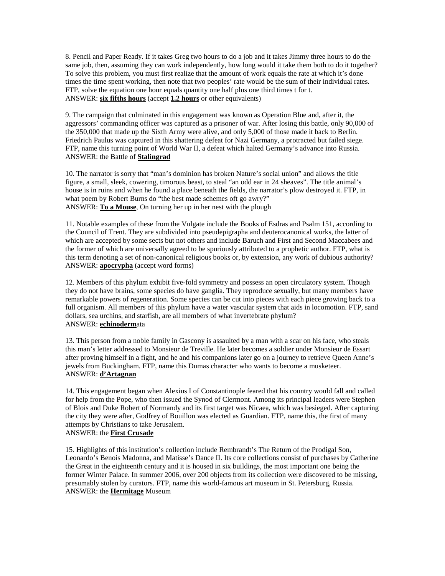8. Pencil and Paper Ready. If it takes Greg two hours to do a job and it takes Jimmy three hours to do the same job, then, assuming they can work independently, how long would it take them both to do it together? To solve this problem, you must first realize that the amount of work equals the rate at which it's done times the time spent working, then note that two peoples' rate would be the sum of their individual rates. FTP, solve the equation one hour equals quantity one half plus one third times t for t. ANSWER: **six fifths hours** (accept **1.2 hours** or other equivalents)

9. The campaign that culminated in this engagement was known as Operation Blue and, after it, the aggressors' commanding officer was captured as a prisoner of war. After losing this battle, only 90,000 of the 350,000 that made up the Sixth Army were alive, and only 5,000 of those made it back to Berlin. Friedrich Paulus was captured in this shattering defeat for Nazi Germany, a protracted but failed siege. FTP, name this turning point of World War II, a defeat which halted Germany's advance into Russia. ANSWER: the Battle of **Stalingrad**

10. The narrator is sorry that "man's dominion has broken Nature's social union" and allows the title figure, a small, sleek, cowering, timorous beast, to steal "an odd ear in 24 sheaves". The title animal's house is in ruins and when he found a place beneath the fields, the narrator's plow destroyed it. FTP, in what poem by Robert Burns do "the best made schemes oft go awry?" ANSWER: **To a Mouse**, On turning her up in her nest with the plough

11. Notable examples of these from the Vulgate include the Books of Esdras and Psalm 151, according to the Council of Trent. They are subdivided into pseudepigrapha and deuterocanonical works, the latter of which are accepted by some sects but not others and include Baruch and First and Second Maccabees and the former of which are universally agreed to be spuriously attributed to a prophetic author. FTP, what is this term denoting a set of non-canonical religious books or, by extension, any work of dubious authority? ANSWER: **apocrypha** (accept word forms)

12. Members of this phylum exhibit five-fold symmetry and possess an open circulatory system. Though they do not have brains, some species do have ganglia. They reproduce sexually, but many members have remarkable powers of regeneration. Some species can be cut into pieces with each piece growing back to a full organism. All members of this phylum have a water vascular system that aids in locomotion. FTP, sand dollars, sea urchins, and starfish, are all members of what invertebrate phylum? ANSWER: **echinoderm**ata

13. This person from a noble family in Gascony is assaulted by a man with a scar on his face, who steals this man's letter addressed to Monsieur de Treville. He later becomes a soldier under Monsieur de Essart after proving himself in a fight, and he and his companions later go on a journey to retrieve Queen Anne's jewels from Buckingham. FTP, name this Dumas character who wants to become a musketeer. ANSWER: **d'Artagnan**

14. This engagement began when Alexius I of Constantinople feared that his country would fall and called for help from the Pope, who then issued the Synod of Clermont. Among its principal leaders were Stephen of Blois and Duke Robert of Normandy and its first target was Nicaea, which was besieged. After capturing the city they were after, Godfrey of Bouillon was elected as Guardian. FTP, name this, the first of many attempts by Christians to take Jerusalem. ANSWER: the **First Crusade**

15. Highlights of this institution's collection include Rembrandt's The Return of the Prodigal Son, Leonardo's Benois Madonna, and Matisse's Dance II. Its core collections consist of purchases by Catherine the Great in the eighteenth century and it is housed in six buildings, the most important one being the former Winter Palace. In summer 2006, over 200 objects from its collection were discovered to be missing, presumably stolen by curators. FTP, name this world-famous art museum in St. Petersburg, Russia. ANSWER: the **Hermitage** Museum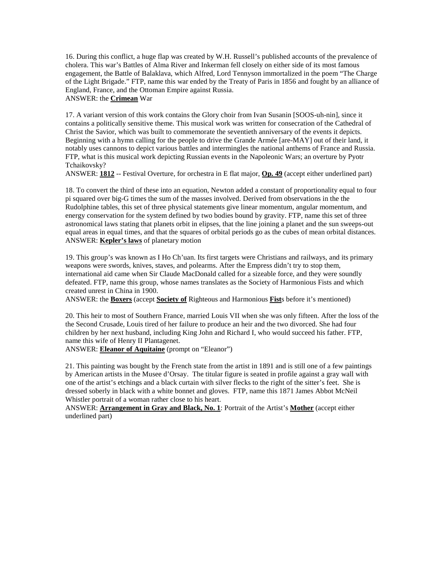16. During this conflict, a huge flap was created by W.H. Russell's published accounts of the prevalence of cholera. This war's Battles of Alma River and Inkerman fell closely on either side of its most famous engagement, the Battle of Balaklava, which Alfred, Lord Tennyson immortalized in the poem "The Charge of the Light Brigade." FTP, name this war ended by the Treaty of Paris in 1856 and fought by an alliance of England, France, and the Ottoman Empire against Russia. ANSWER: the **Crimean** War

17. A variant version of this work contains the Glory choir from Ivan Susanin [SOOS-uh-nin], since it contains a politically sensitive theme. This musical work was written for consecration of the Cathedral of Christ the Savior, which was built to commemorate the seventieth anniversary of the events it depicts. Beginning with a hymn calling for the people to drive the Grande Armée [are-MAY] out of their land, it notably uses cannons to depict various battles and intermingles the national anthems of France and Russia. FTP, what is this musical work depicting Russian events in the Napoleonic Wars; an overture by Pyotr Tchaikovsky?

ANSWER: **1812** -- Festival Overture, for orchestra in E flat major, **Op. 49** (accept either underlined part)

18. To convert the third of these into an equation, Newton added a constant of proportionality equal to four pi squared over big-G times the sum of the masses involved. Derived from observations in the the Rudolphine tables, this set of three physical statements give linear momentum, angular momentum, and energy conservation for the system defined by two bodies bound by gravity. FTP, name this set of three astronomical laws stating that planets orbit in elipses, that the line joining a planet and the sun sweeps-out equal areas in equal times, and that the squares of orbital periods go as the cubes of mean orbital distances. ANSWER: **Kepler's laws** of planetary motion

19. This group's was known as I Ho Ch'uan. Its first targets were Christians and railways, and its primary weapons were swords, knives, staves, and polearms. After the Empress didn't try to stop them, international aid came when Sir Claude MacDonald called for a sizeable force, and they were soundly defeated. FTP, name this group, whose names translates as the Society of Harmonious Fists and which created unrest in China in 1900.

ANSWER: the **Boxers** (accept **Society of** Righteous and Harmonious **Fist**s before it's mentioned)

20. This heir to most of Southern France, married Louis VII when she was only fifteen. After the loss of the the Second Crusade, Louis tired of her failure to produce an heir and the two divorced. She had four children by her next husband, including King John and Richard I, who would succeed his father. FTP, name this wife of Henry II Plantagenet.

ANSWER: **Eleanor of Aquitaine** (prompt on "Eleanor")

21. This painting was bought by the French state from the artist in 1891 and is still one of a few paintings by American artists in the Musee d'Orsay. The titular figure is seated in profile against a gray wall with one of the artist's etchings and a black curtain with silver flecks to the right of the sitter's feet. She is dressed soberly in black with a white bonnet and gloves. FTP, name this 1871 James Abbot McNeil Whistler portrait of a woman rather close to his heart.

ANSWER: **Arrangement in Gray and Black, No. 1**: Portrait of the Artist's **Mother** (accept either underlined part)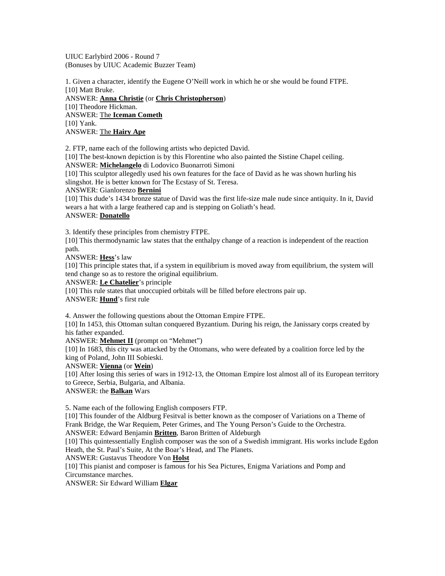UIUC Earlybird 2006 - Round 7 (Bonuses by UIUC Academic Buzzer Team)

1. Given a character, identify the Eugene O'Neill work in which he or she would be found FTPE. [10] Matt Bruke.

ANSWER: **Anna Christie** (or **Chris Christopherson**) [10] Theodore Hickman. ANSWER: The **Iceman Cometh** [10] Yank. ANSWER: The **Hairy Ape**

2. FTP, name each of the following artists who depicted David.

[10] The best-known depiction is by this Florentine who also painted the Sistine Chapel ceiling. ANSWER: **Michelangelo** di Lodovico Buonarroti Simoni

[10] This sculptor allegedly used his own features for the face of David as he was shown hurling his slingshot. He is better known for The Ecstasy of St. Teresa.

ANSWER: Gianlorenzo **Bernini**

[10] This dude's 1434 bronze statue of David was the first life-size male nude since antiquity. In it, David wears a hat with a large feathered cap and is stepping on Goliath's head. ANSWER: **Donatello**

3. Identify these principles from chemistry FTPE.

[10] This thermodynamic law states that the enthalpy change of a reaction is independent of the reaction path.

ANSWER: **Hess**'s law

[10] This principle states that, if a system in equilibrium is moved away from equilibrium, the system will tend change so as to restore the original equilibrium.

ANSWER: **Le Chatelier**'s principle

[10] This rule states that unoccupied orbitals will be filled before electrons pair up.

ANSWER: **Hund**'s first rule

4. Answer the following questions about the Ottoman Empire FTPE.

[10] In 1453, this Ottoman sultan conquered Byzantium. During his reign, the Janissary corps created by his father expanded.

ANSWER: **Mehmet II** (prompt on "Mehmet")

[10] In 1683, this city was attacked by the Ottomans, who were defeated by a coalition force led by the king of Poland, John III Sobieski.

ANSWER: **Vienna** (or **Wein**)

[10] After losing this series of wars in 1912-13, the Ottoman Empire lost almost all of its European territory to Greece, Serbia, Bulgaria, and Albania.

ANSWER: the **Balkan** Wars

5. Name each of the following English composers FTP.

[10] This founder of the Aldburg Fesitval is better known as the composer of Variations on a Theme of Frank Bridge, the War Requiem, Peter Grimes, and The Young Person's Guide to the Orchestra. ANSWER: Edward Benjamin **Britten**, Baron Britten of Aldeburgh

[10] This quintessentially English composer was the son of a Swedish immigrant. His works include Egdon Heath, the St. Paul's Suite, At the Boar's Head, and The Planets.

ANSWER: Gustavus Theodore Von **Holst**

[10] This pianist and composer is famous for his Sea Pictures, Enigma Variations and Pomp and Circumstance marches.

ANSWER: Sir Edward William **Elgar**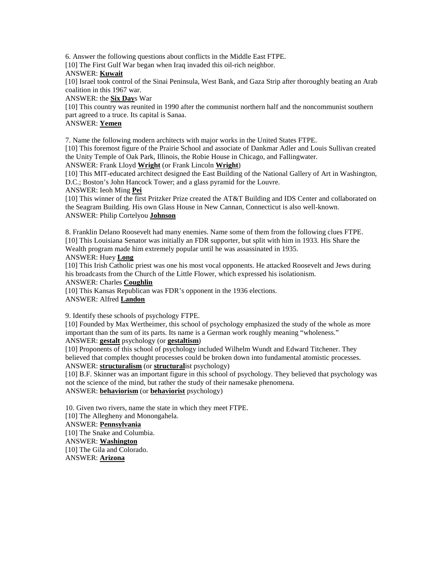6. Answer the following questions about conflicts in the Middle East FTPE.

[10] The First Gulf War began when Iraq invaded this oil-rich neighbor.

# ANSWER: **Kuwait**

[10] Israel took control of the Sinai Peninsula, West Bank, and Gaza Strip after thoroughly beating an Arab coalition in this 1967 war.

#### ANSWER: the **Six Day**s War

[10] This country was reunited in 1990 after the communist northern half and the noncommunist southern part agreed to a truce. Its capital is Sanaa.

## ANSWER: **Yemen**

7. Name the following modern architects with major works in the United States FTPE.

[10] This foremost figure of the Prairie School and associate of Dankmar Adler and Louis Sullivan created the Unity Temple of Oak Park, Illinois, the Robie House in Chicago, and Fallingwater.

ANSWER: Frank Lloyd **Wright** (or Frank Lincoln **Wright**)

[10] This MIT-educated architect designed the East Building of the National Gallery of Art in Washington, D.C.; Boston's John Hancock Tower; and a glass pyramid for the Louvre.

ANSWER: Ieoh Ming **Pei**

[10] This winner of the first Pritzker Prize created the AT&T Building and IDS Center and collaborated on the Seagram Building. His own Glass House in New Cannan, Connecticut is also well-known. ANSWER: Philip Cortelyou **Johnson**

8. Franklin Delano Roosevelt had many enemies. Name some of them from the following clues FTPE. [10] This Louisiana Senator was initially an FDR supporter, but split with him in 1933. His Share the Wealth program made him extremely popular until he was assassinated in 1935.

### ANSWER: Huey **Long**

[10] This Irish Catholic priest was one his most vocal opponents. He attacked Roosevelt and Jews during his broadcasts from the Church of the Little Flower, which expressed his isolationism.

#### ANSWER: Charles **Coughlin**

[10] This Kansas Republican was FDR's opponent in the 1936 elections.

# ANSWER: Alfred **Landon**

9. Identify these schools of psychology FTPE.

[10] Founded by Max Wertheimer, this school of psychology emphasized the study of the whole as more important than the sum of its parts. Its name is a German work roughly meaning "wholeness."

## ANSWER: **gestalt** psychology (or **gestaltism**)

[10] Proponents of this school of psychology included Wilhelm Wundt and Edward Titchener. They believed that complex thought processes could be broken down into fundamental atomistic processes. ANSWER: **structuralism** (or **structural**ist psychology)

[10] B.F. Skinner was an important figure in this school of psychology. They believed that psychology was not the science of the mind, but rather the study of their namesake phenomena. ANSWER: **behaviorism** (or **behaviorist** psychology)

10. Given two rivers, name the state in which they meet FTPE. [10] The Allegheny and Monongahela.

# ANSWER: **Pennsylvania**

[10] The Snake and Columbia. ANSWER: **Washington** [10] The Gila and Colorado. ANSWER: **Arizona**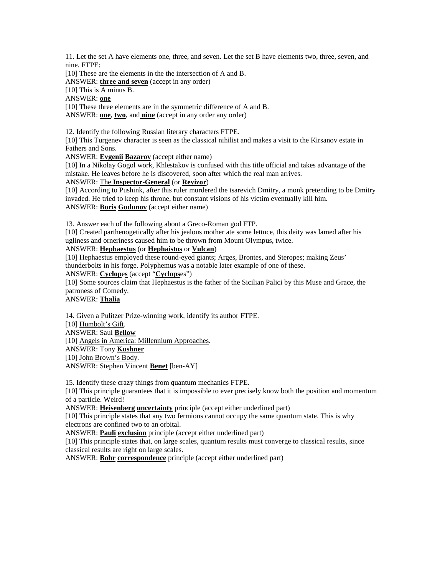11. Let the set A have elements one, three, and seven. Let the set B have elements two, three, seven, and nine. FTPE:

[10] These are the elements in the the intersection of A and B.

ANSWER: **three and seven** (accept in any order)

[10] This is A minus B.

ANSWER: **one**

[10] These three elements are in the symmetric difference of A and B. ANSWER: **one**, **two**, and **nine** (accept in any order any order)

12. Identify the following Russian literary characters FTPE.

[10] This Turgenev character is seen as the classical nihilist and makes a visit to the Kirsanov estate in Fathers and Sons.

ANSWER: **Evgenii Bazarov** (accept either name)

[10] In a Nikolay Gogol work, Khlestakov is confused with this title official and takes advantage of the mistake. He leaves before he is discovered, soon after which the real man arrives.

#### ANSWER: The **Inspector-General** (or **Revizor**)

[10] According to Pushink, after this ruler murdered the tsarevich Dmitry, a monk pretending to be Dmitry invaded. He tried to keep his throne, but constant visions of his victim eventually kill him. ANSWER: **Boris Godunov** (accept either name)

13. Answer each of the following about a Greco-Roman god FTP.

[10] Created parthenogetically after his jealous mother ate some lettuce, this deity was lamed after his ugliness and orneriness caused him to be thrown from Mount Olympus, twice.

#### ANSWER: **Hephaestus** (or **Hephaistos** or **Vulcan**)

[10] Hephaestus employed these round-eyed giants; Arges, Brontes, and Steropes; making Zeus' thunderbolts in his forge. Polyphemus was a notable later example of one of these.

ANSWER: **Cyclop**e**s** (accept "**Cyclops**es")

[10] Some sources claim that Hephaestus is the father of the Sicilian Palici by this Muse and Grace, the patroness of Comedy.

ANSWER: **Thalia**

14. Given a Pulitzer Prize-winning work, identify its author FTPE. [10] Humbolt's Gift. ANSWER: Saul **Bellow** [10] Angels in America: Millennium Approaches. ANSWER: Tony **Kushner** [10] John Brown's Body. ANSWER: Stephen Vincent **Benet** [ben-AY]

15. Identify these crazy things from quantum mechanics FTPE.

[10] This principle guarantees that it is impossible to ever precisely know both the position and momentum of a particle. Weird!

ANSWER: **Heisenberg uncertainty** principle (accept either underlined part)

[10] This principle states that any two fermions cannot occupy the same quantum state. This is why electrons are confined two to an orbital.

ANSWER: **Pauli exclusion** principle (accept either underlined part)

[10] This principle states that, on large scales, quantum results must converge to classical results, since classical results are right on large scales.

ANSWER: **Bohr correspondence** principle (accept either underlined part)